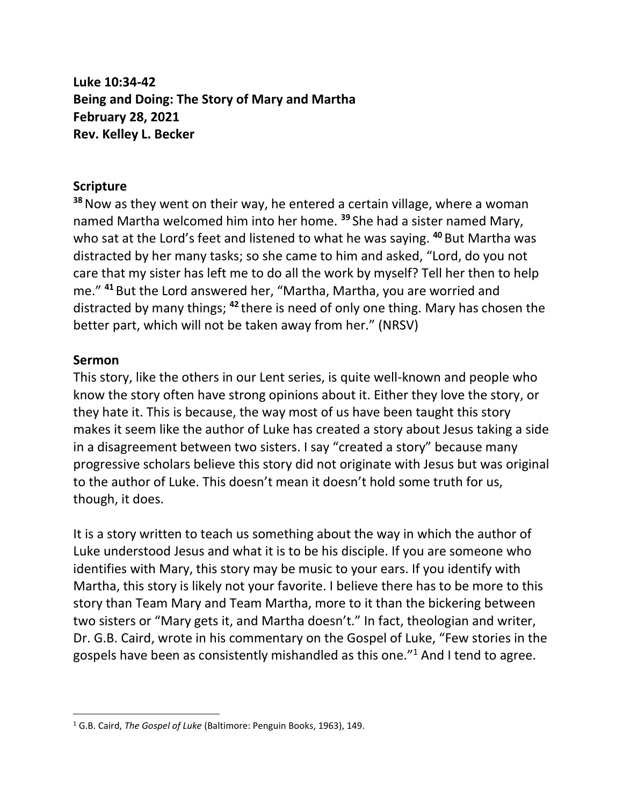**Luke 10:34-42 Being and Doing: The Story of Mary and Martha February 28, 2021 Rev. Kelley L. Becker**

## **Scripture**

**<sup>38</sup>**Now as they went on their way, he entered a certain village, where a woman named Martha welcomed him into her home. **<sup>39</sup>** She had a sister named Mary, who sat at the Lord's feet and listened to what he was saying. **<sup>40</sup>** But Martha was distracted by her many tasks; so she came to him and asked, "Lord, do you not care that my sister has left me to do all the work by myself? Tell her then to help me." **<sup>41</sup>** But the Lord answered her, "Martha, Martha, you are worried and distracted by many things; **<sup>42</sup>** there is need of only one thing. Mary has chosen the better part, which will not be taken away from her." (NRSV)

## **Sermon**

This story, like the others in our Lent series, is quite well-known and people who know the story often have strong opinions about it. Either they love the story, or they hate it. This is because, the way most of us have been taught this story makes it seem like the author of Luke has created a story about Jesus taking a side in a disagreement between two sisters. I say "created a story" because many progressive scholars believe this story did not originate with Jesus but was original to the author of Luke. This doesn't mean it doesn't hold some truth for us, though, it does.

It is a story written to teach us something about the way in which the author of Luke understood Jesus and what it is to be his disciple. If you are someone who identifies with Mary, this story may be music to your ears. If you identify with Martha, this story is likely not your favorite. I believe there has to be more to this story than Team Mary and Team Martha, more to it than the bickering between two sisters or "Mary gets it, and Martha doesn't." In fact, theologian and writer, Dr. G.B. Caird, wrote in his commentary on the Gospel of Luke, "Few stories in the gospels have been as consistently mishandled as this one." $1$  And I tend to agree.

<sup>1</sup> G.B. Caird, *The Gospel of Luke* (Baltimore: Penguin Books, 1963), 149.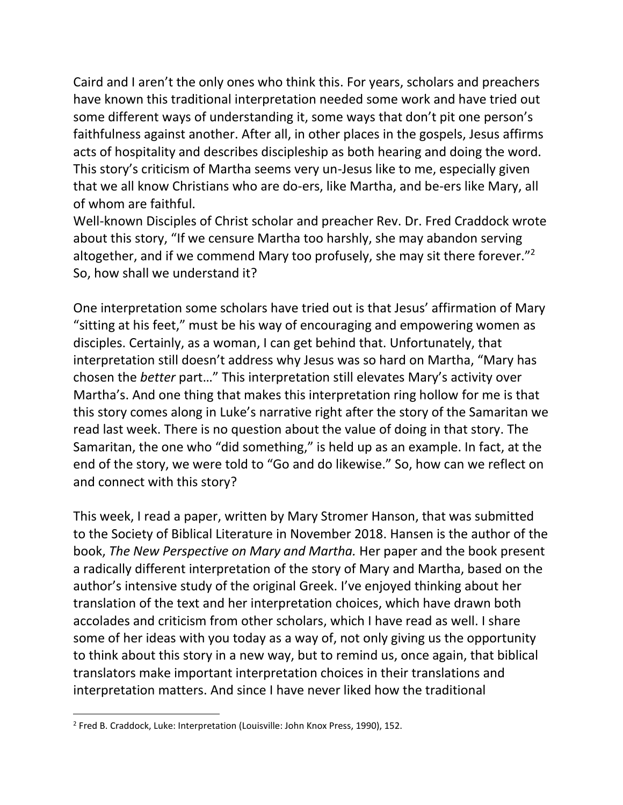Caird and I aren't the only ones who think this. For years, scholars and preachers have known this traditional interpretation needed some work and have tried out some different ways of understanding it, some ways that don't pit one person's faithfulness against another. After all, in other places in the gospels, Jesus affirms acts of hospitality and describes discipleship as both hearing and doing the word. This story's criticism of Martha seems very un-Jesus like to me, especially given that we all know Christians who are do-ers, like Martha, and be-ers like Mary, all of whom are faithful.

Well-known Disciples of Christ scholar and preacher Rev. Dr. Fred Craddock wrote about this story, "If we censure Martha too harshly, she may abandon serving altogether, and if we commend Mary too profusely, she may sit there forever."<sup>2</sup> So, how shall we understand it?

One interpretation some scholars have tried out is that Jesus' affirmation of Mary "sitting at his feet," must be his way of encouraging and empowering women as disciples. Certainly, as a woman, I can get behind that. Unfortunately, that interpretation still doesn't address why Jesus was so hard on Martha, "Mary has chosen the *better* part…" This interpretation still elevates Mary's activity over Martha's. And one thing that makes this interpretation ring hollow for me is that this story comes along in Luke's narrative right after the story of the Samaritan we read last week. There is no question about the value of doing in that story. The Samaritan, the one who "did something," is held up as an example. In fact, at the end of the story, we were told to "Go and do likewise." So, how can we reflect on and connect with this story?

This week, I read a paper, written by Mary Stromer Hanson, that was submitted to the Society of Biblical Literature in November 2018. Hansen is the author of the book, *The New Perspective on Mary and Martha.* Her paper and the book present a radically different interpretation of the story of Mary and Martha, based on the author's intensive study of the original Greek. I've enjoyed thinking about her translation of the text and her interpretation choices, which have drawn both accolades and criticism from other scholars, which I have read as well. I share some of her ideas with you today as a way of, not only giving us the opportunity to think about this story in a new way, but to remind us, once again, that biblical translators make important interpretation choices in their translations and interpretation matters. And since I have never liked how the traditional

<sup>&</sup>lt;sup>2</sup> Fred B. Craddock, Luke: Interpretation (Louisville: John Knox Press, 1990), 152.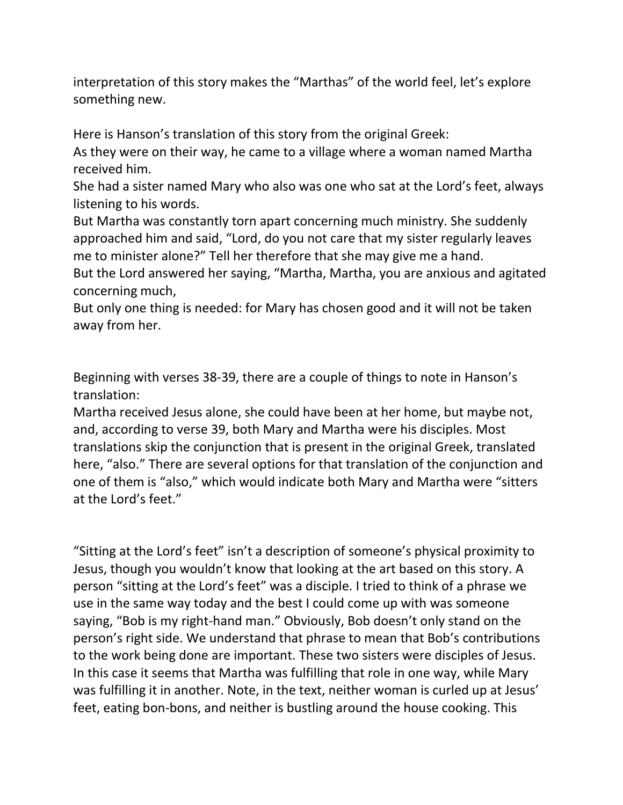interpretation of this story makes the "Marthas" of the world feel, let's explore something new.

Here is Hanson's translation of this story from the original Greek:

As they were on their way, he came to a village where a woman named Martha received him.

She had a sister named Mary who also was one who sat at the Lord's feet, always listening to his words.

But Martha was constantly torn apart concerning much ministry. She suddenly approached him and said, "Lord, do you not care that my sister regularly leaves me to minister alone?" Tell her therefore that she may give me a hand.

But the Lord answered her saying, "Martha, Martha, you are anxious and agitated concerning much,

But only one thing is needed: for Mary has chosen good and it will not be taken away from her.

Beginning with verses 38-39, there are a couple of things to note in Hanson's translation:

Martha received Jesus alone, she could have been at her home, but maybe not, and, according to verse 39, both Mary and Martha were his disciples. Most translations skip the conjunction that is present in the original Greek, translated here, "also." There are several options for that translation of the conjunction and one of them is "also," which would indicate both Mary and Martha were "sitters at the Lord's feet."

"Sitting at the Lord's feet" isn't a description of someone's physical proximity to Jesus, though you wouldn't know that looking at the art based on this story. A person "sitting at the Lord's feet" was a disciple. I tried to think of a phrase we use in the same way today and the best I could come up with was someone saying, "Bob is my right-hand man." Obviously, Bob doesn't only stand on the person's right side. We understand that phrase to mean that Bob's contributions to the work being done are important. These two sisters were disciples of Jesus. In this case it seems that Martha was fulfilling that role in one way, while Mary was fulfilling it in another. Note, in the text, neither woman is curled up at Jesus' feet, eating bon-bons, and neither is bustling around the house cooking. This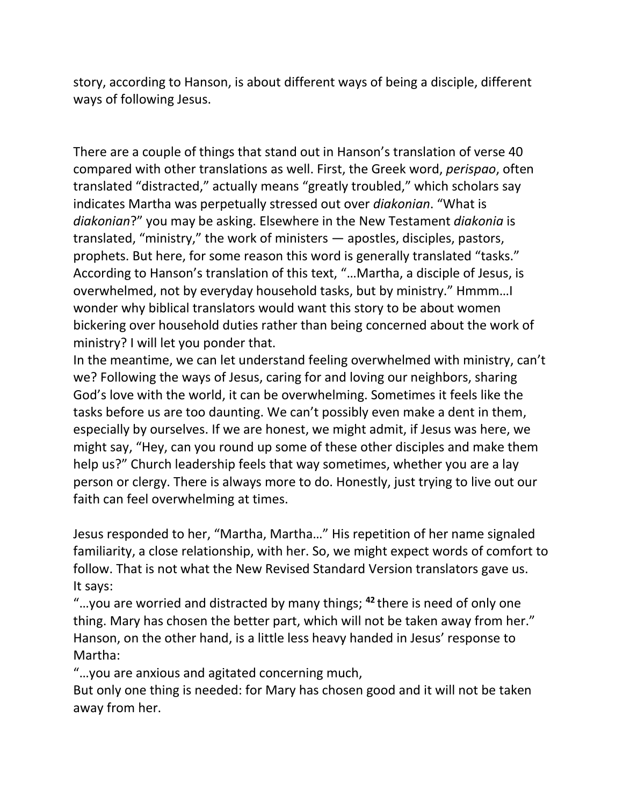story, according to Hanson, is about different ways of being a disciple, different ways of following Jesus.

There are a couple of things that stand out in Hanson's translation of verse 40 compared with other translations as well. First, the Greek word, *perispao*, often translated "distracted," actually means "greatly troubled," which scholars say indicates Martha was perpetually stressed out over *diakonian*. "What is *diakonian*?" you may be asking. Elsewhere in the New Testament *diakonia* is translated, "ministry," the work of ministers — apostles, disciples, pastors, prophets. But here, for some reason this word is generally translated "tasks." According to Hanson's translation of this text, "…Martha, a disciple of Jesus, is overwhelmed, not by everyday household tasks, but by ministry." Hmmm…I wonder why biblical translators would want this story to be about women bickering over household duties rather than being concerned about the work of ministry? I will let you ponder that.

In the meantime, we can let understand feeling overwhelmed with ministry, can't we? Following the ways of Jesus, caring for and loving our neighbors, sharing God's love with the world, it can be overwhelming. Sometimes it feels like the tasks before us are too daunting. We can't possibly even make a dent in them, especially by ourselves. If we are honest, we might admit, if Jesus was here, we might say, "Hey, can you round up some of these other disciples and make them help us?" Church leadership feels that way sometimes, whether you are a lay person or clergy. There is always more to do. Honestly, just trying to live out our faith can feel overwhelming at times.

Jesus responded to her, "Martha, Martha…" His repetition of her name signaled familiarity, a close relationship, with her. So, we might expect words of comfort to follow. That is not what the New Revised Standard Version translators gave us. It says:

"…you are worried and distracted by many things; **<sup>42</sup>** there is need of only one thing. Mary has chosen the better part, which will not be taken away from her." Hanson, on the other hand, is a little less heavy handed in Jesus' response to Martha:

"…you are anxious and agitated concerning much,

But only one thing is needed: for Mary has chosen good and it will not be taken away from her.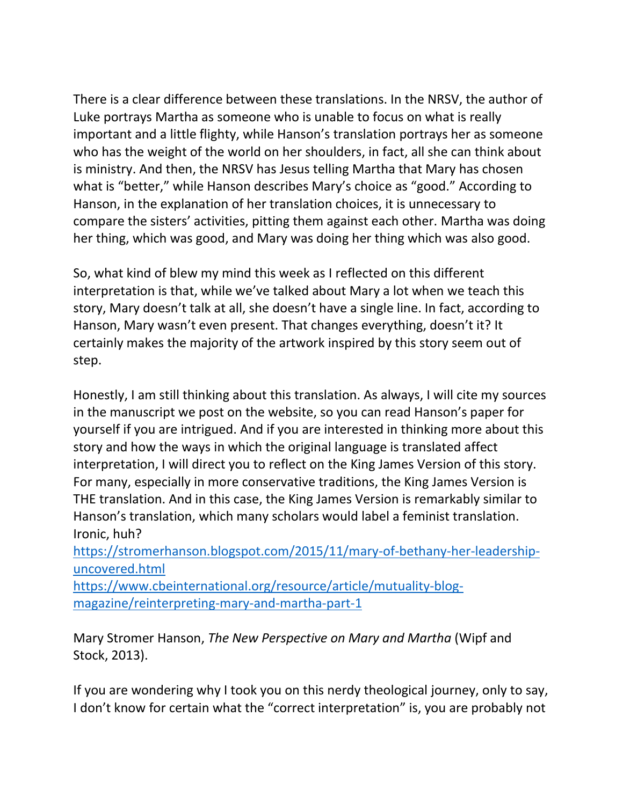There is a clear difference between these translations. In the NRSV, the author of Luke portrays Martha as someone who is unable to focus on what is really important and a little flighty, while Hanson's translation portrays her as someone who has the weight of the world on her shoulders, in fact, all she can think about is ministry. And then, the NRSV has Jesus telling Martha that Mary has chosen what is "better," while Hanson describes Mary's choice as "good." According to Hanson, in the explanation of her translation choices, it is unnecessary to compare the sisters' activities, pitting them against each other. Martha was doing her thing, which was good, and Mary was doing her thing which was also good.

So, what kind of blew my mind this week as I reflected on this different interpretation is that, while we've talked about Mary a lot when we teach this story, Mary doesn't talk at all, she doesn't have a single line. In fact, according to Hanson, Mary wasn't even present. That changes everything, doesn't it? It certainly makes the majority of the artwork inspired by this story seem out of step.

Honestly, I am still thinking about this translation. As always, I will cite my sources in the manuscript we post on the website, so you can read Hanson's paper for yourself if you are intrigued. And if you are interested in thinking more about this story and how the ways in which the original language is translated affect interpretation, I will direct you to reflect on the King James Version of this story. For many, especially in more conservative traditions, the King James Version is THE translation. And in this case, the King James Version is remarkably similar to Hanson's translation, which many scholars would label a feminist translation. Ironic, huh?

[https://stromerhanson.blogspot.com/2015/11/mary-of-bethany-her-leadership](https://stromerhanson.blogspot.com/2015/11/mary-of-bethany-her-leadership-uncovered.html)[uncovered.html](https://stromerhanson.blogspot.com/2015/11/mary-of-bethany-her-leadership-uncovered.html)

[https://www.cbeinternational.org/resource/article/mutuality-blog](https://www.cbeinternational.org/resource/article/mutuality-blog-magazine/reinterpreting-mary-and-martha-part-1)[magazine/reinterpreting-mary-and-martha-part-1](https://www.cbeinternational.org/resource/article/mutuality-blog-magazine/reinterpreting-mary-and-martha-part-1)

Mary Stromer Hanson, *The New Perspective on Mary and Martha* (Wipf and Stock, 2013).

If you are wondering why I took you on this nerdy theological journey, only to say, I don't know for certain what the "correct interpretation" is, you are probably not